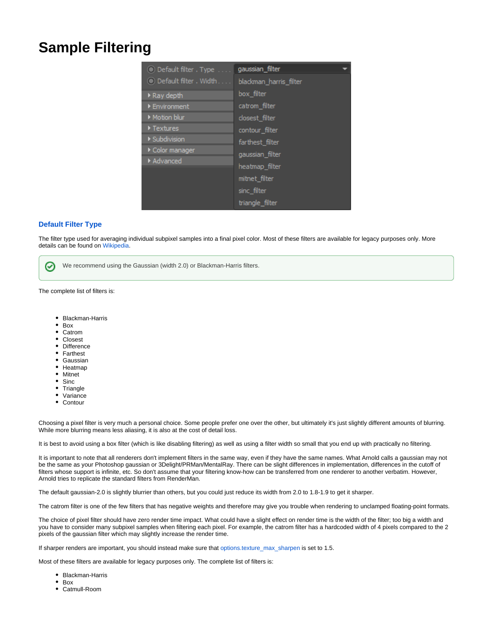## **Sample Filtering**

| Default filter . Type          | gaussian filter        |
|--------------------------------|------------------------|
| Default filter, Width          | blackman_harris_filter |
| ▶ Ray depth                    | box filter             |
| ▶ Environment                  | catrom filter          |
| Motion blur                    | closest filter         |
| $\blacktriangleright$ Textures | contour filter         |
| ▶ Subdivision                  | farthest filter        |
| Color manager                  | gaussian_filter        |
| Advanced                       | heatmap filter         |
|                                | mitnet filter          |
|                                | sinc filter            |
|                                | triangle filter        |

## **Default Filter Type**

The filter type used for averaging individual subpixel samples into a final pixel color. Most of these filters are available for legacy purposes only. More details can be found on [Wikipedia](http://en.wikipedia.org/wiki/Window_function).

⊘ We recommend using the Gaussian (width 2.0) or Blackman-Harris filters.

The complete list of filters is:

- Blackman-Harris
- Box
- Catrom
- Closest
- Difference  $\bullet$
- Farthest Gaussian
- Heatmap
- Mitnet
- $\bullet$  Sinc
- $\bullet$ **Triangle**
- Variance
- Contour

Choosing a pixel filter is very much a personal choice. Some people prefer one over the other, but ultimately it's just slightly different amounts of blurring. While more blurring means less aliasing, it is also at the cost of detail loss.

It is best to avoid using a box filter (which is like disabling filtering) as well as using a filter width so small that you end up with practically no filtering.

It is important to note that all renderers don't implement filters in the same way, even if they have the same names. What Arnold calls a gaussian may not be the same as your Photoshop gaussian or 3Delight/PRMan/MentalRay. There can be slight differences in implementation, differences in the cutoff of filters whose support is infinite, etc. So don't assume that your filtering know-how can be transferred from one renderer to another verbatim. However, Arnold tries to replicate the standard filters from RenderMan.

The default gaussian-2.0 is slightly blurrier than others, but you could just reduce its width from 2.0 to 1.8-1.9 to get it sharper.

The catrom filter is one of the few filters that has negative weights and therefore may give you trouble when rendering to unclamped floating-point formats.

The choice of pixel filter should have zero render time impact. What could have a slight effect on render time is the width of the filter; too big a width and you have to consider many subpixel samples when filtering each pixel. For example, the catrom filter has a hardcoded width of 4 pixels compared to the 2 pixels of the gaussian filter which may slightly increase the render time.

If sharper renders are important, you should instead make sure that [options.texture\\_max\\_sharpen](https://docs.arnoldrenderer.com/display/A5NodeRef/options#options-texture_max_sharpen) is set to 1.5.

Most of these filters are available for legacy purposes only. The complete list of filters is:

- Blackman-Harris
- Box
- Catmull-Room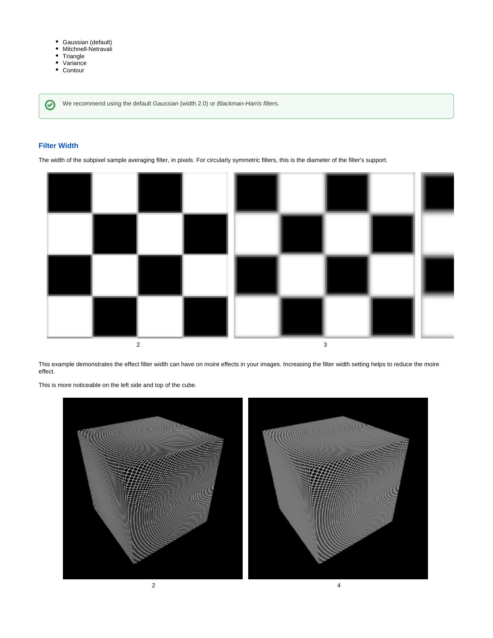- Gaussian (default)
- $\bullet$ Mitchnell-Netravali
- **Triangle**  $\bullet$
- $\bullet$ Variance
- Contour

We recommend using the default Gaussian (width 2.0) or Blackman-Harris filters.

## **Filter Width**

⊗

The width of the subpixel sample averaging filter, in pixels. For circularly symmetric filters, this is the diameter of the filter's support.



This example demonstrates the effect filter width can have on moire effects in your images. Increasing the filter width setting helps to reduce the moire effect.

This is more noticeable on the left side and top of the cube.